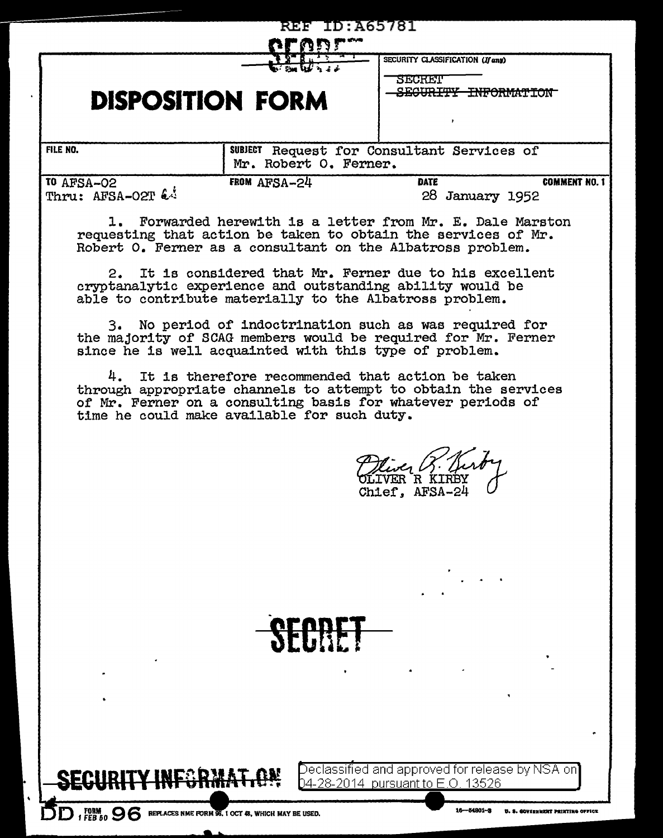| <b>REF ID: A65781</b>                                        |                                                                     |                                                                                                                                                                                           |
|--------------------------------------------------------------|---------------------------------------------------------------------|-------------------------------------------------------------------------------------------------------------------------------------------------------------------------------------------|
| <b>DISPOSITION FORM</b>                                      |                                                                     | SECURITY CLASSIFICATION (If any)<br>SECRET<br>HNIC CRWANNON-<br>$\mathbf{r}$                                                                                                              |
| <b>FILE NO.</b>                                              | SUBJECT Request for Consultant Services of<br>Mr. Robert O. Ferner. |                                                                                                                                                                                           |
| <b>TO AFSA-02</b><br>Thru: AFSA-O2T &                        | FROM AFSA-24                                                        | <b>COMMENT NO. 1</b><br><b>DATE</b><br>28 January 1952                                                                                                                                    |
|                                                              |                                                                     | 1. Forwarded herewith is a letter from Mr. E. Dale Marston<br>requesting that action be taken to obtain the services of Mr.<br>Robert O. Ferner as a consultant on the Albatross problem. |
| 2.                                                           |                                                                     | It is considered that Mr. Ferner due to his excellent<br>cryptanalytic experience and outstanding ability would be<br>able to contribute materially to the Albatross problem.             |
| 3.<br>since he is well acquainted with this type of problem. |                                                                     | No period of indoctrination such as was required for<br>the majority of SCAG members would be required for Mr. Ferner                                                                     |
| 4.<br>time he could make available for such duty.            |                                                                     | It is therefore recommended that action be taken<br>through appropriate channels to attempt to obtain the services<br>of Mr. Ferner on a consulting basis for whatever periods of         |
|                                                              |                                                                     | Chief, AFSA-24                                                                                                                                                                            |
|                                                              |                                                                     |                                                                                                                                                                                           |
|                                                              |                                                                     |                                                                                                                                                                                           |
|                                                              |                                                                     |                                                                                                                                                                                           |
|                                                              |                                                                     |                                                                                                                                                                                           |
| $FEB$ 50 $96$                                                | REPLACES NME FORM 96, 1 OCT 48, WHICH MAY BE USED.                  | Declassified and approved for release by NSA on]<br>04-28-2014 pursuant to E.O. 13526<br>$16 - 54801 - 3$<br>D. S. COVERNMENT PRINTING OFFICE                                             |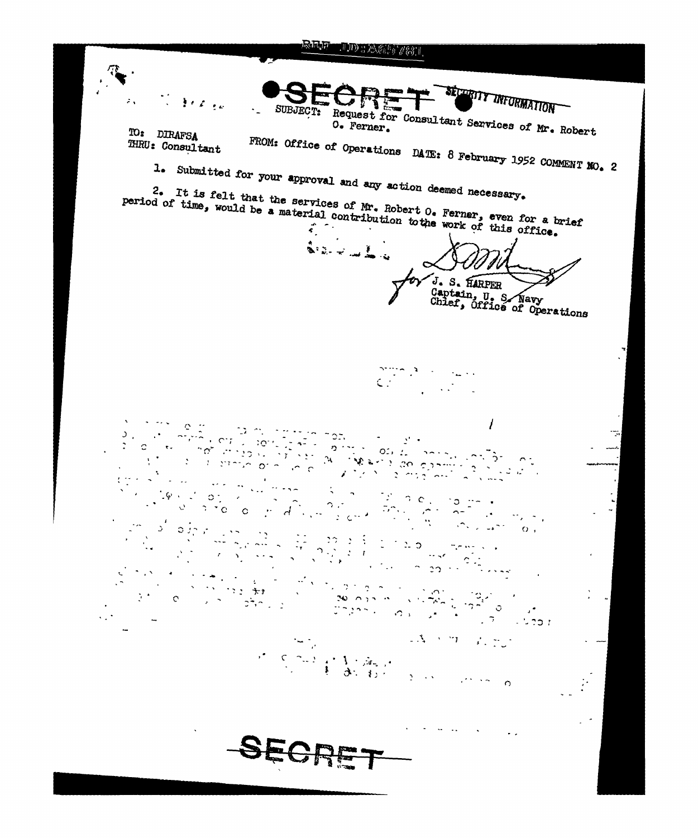**REF** TIDE AGET 783 L

**SETTINT THEORMATION** T. Breize SUBJECT: Request for Consultant Services of Mr. Robert  $\mathcal{L}_{\mathbf{m}}$ TO: DIRAFSA FROM: Office of Operations DATE: 8 February 1952 COMMENT NO. 2 THRU: Consultant 1. Submitted for your approval and any action deemed necessary. <sup>2</sup>. It is felt that the services of Mr. Robert  $0$ . Ferner, even for a brief period of time, would be a material contribution to the work of this office. J. S. HARPER Captain, U. S. Navy<br>Chief, Office of Operations  $\mathbf{r}$ I  $\mathbb{C}$   $\rightarrow$  $\mathcal{F}_{\mathcal{F}}$ Ţ.  $\mathcal{D}^{\text{max}}$  , where  $\mathcal{D}^{\text{max}}$  $\mathbb{P}^{\mathcal{C}}_{\mathcal{C}}(\mathcal{D},\mathbf{C}_{\infty})$  $\circ$  or  $\left(\begin{array}{cc} \circ & \circ \\ \circ & \circ \end{array}\right) \left(\begin{array}{c} \circ \\ \circ \\ \circ \end{array}\right) \left(\begin{array}{c} \circ \\ \circ \\ \circ \end{array}\right) \left(\begin{array}{c} \circ \\ \circ \\ \circ \end{array}\right)$  $2.7c$ وأمرار المكافة  $\overline{2}$  $\mathcal{L}(\mathcal{L}^{\mathcal{L}}(\mathcal{L}^{\mathcal{L}}))$  $\mathbf{Q}$  $\mathfrak{O}(J_1^{\infty},\mathbb{R})$  $\mathcal{D} = \mathcal{D}$  $\Omega_{-1}$  $\mathcal{P}_{\mathcal{A}}$  ,  $\mathcal{A}$  $\epsilon$  $\mathcal{M}(\mathcal{F})$  $\sim 2$  ,  $\sim 2$  ,  $\sim$  $\sim 10^4$  $\label{eq:2} \mathbb{E}[\mathbf{A}^{(i)}\boldsymbol{\Sigma}^{(i)}\mathbf{T}^{\top}(\mathbf{A}^{(i)}\mathbf{T}^{\top})]$  $\sim 10^4$  $\frac{1}{2} \left( \begin{array}{cc} 0 & 0 & 0 \\ 0 & 0 & 0 \end{array} \right) = \left( \begin{array}{cc} 1 & 0 & 0 \\ 0 & 0 & 0 \end{array} \right) = \left( \begin{array}{cc} 0 & 0 & 0 \\ 0 & 0 & 0 \end{array} \right) = \left( \begin{array}{cc} 0 & 0 & 0 \\ 0 & 0 & 0 \end{array} \right) = \left( \begin{array}{cc} 0 & 0 & 0 \\ 0 & 0 & 0 \end{array} \right) = \left( \begin{array}{cc} 0 & 0 & 0 \\ 0 & 0 & 0 \end{array} \$ **Literal**